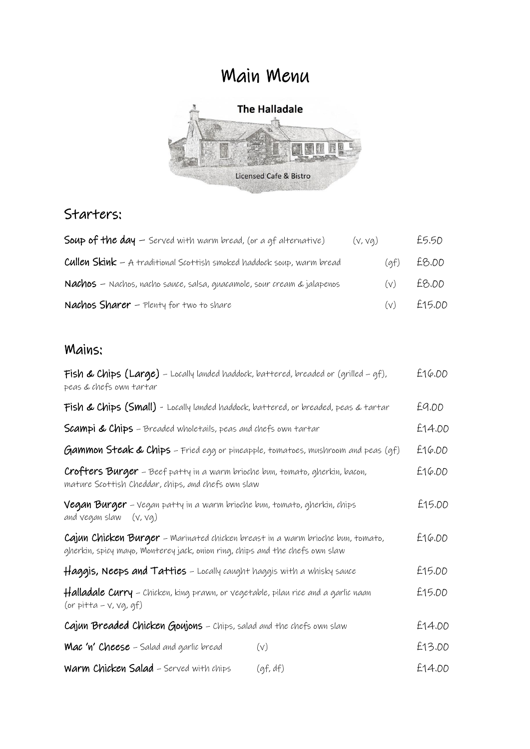# Main Menu



## Starters:

| <b>Soup of the day</b> $-$ Served with warm bread, (or a gf alternative)     | (v, vq)  | £5.50        |
|------------------------------------------------------------------------------|----------|--------------|
| <b>Cullen Skink</b> – A traditional Scottish smoked haddock soup, warm bread |          | $(af)$ £8.00 |
| Nachos – Nachos, nacho sauce, salsa, quacamole, sour cream & jalapenos       | (v)      | £8.00        |
| <b>Nachos Sharer</b> $-$ Plenty for two to share                             | $(\vee)$ | £15.00       |

### Mains:

| <b>Fish &amp; Chips (Large)</b> – Locally landed haddock, battered, breaded or (grilled – gf),<br>peas & chefs own tartar                                      |          | £16.00 |
|----------------------------------------------------------------------------------------------------------------------------------------------------------------|----------|--------|
| Fish & Chips (Small) - Locally landed haddock, battered, or breaded, peas & tartar                                                                             |          | £9.00  |
| <b>Scampi &amp; Chips</b> – Breaded wholetails, peas and chefs own tartar                                                                                      |          | £14.00 |
| <b>Gammon Steak &amp; Chips</b> - Fried egg or pineapple, tomatoes, mushroom and peas (gf)                                                                     |          | £16.00 |
| Crofters Burger - Beef patty in a warm brioche bun, tomato, gherkin, bacon,<br>mature Scottish Cheddar, chips, and chefs own slaw                              |          | £16.00 |
| Vegan Burger - Vegan patty in a warm brioche bun, tomato, gherkin, chips<br>and vegan slaw<br>(v, vq)                                                          |          | £15.00 |
| Cajun Chicken Burger – Marinated chicken breast in a warm brioche bun, tomato,<br>gherkin, spicy mayo, Monterey jack, onion ring, chips and the chefs own slaw |          | £16.00 |
| Haggis, Neeps and Tatties - Locally caught haggis with a whisky sauce                                                                                          |          | £15.00 |
| <b>Halladale Curry</b> – Chicken, king prawn, or vegetable, pilau rice and a garlic naan<br>(or pitta - $v$ , $v$ g, gf)                                       |          | £15.00 |
| Cajun Breaded Chicken Goujons - Chips, salad and the chefs own slaw                                                                                            |          | £14.00 |
| <b>Mac 'n' Cheese</b> – Salad and garlic bread                                                                                                                 | (v)      | £13.00 |
| Warm Chicken Salad - Served with chips                                                                                                                         | (gf, df) | £14.00 |